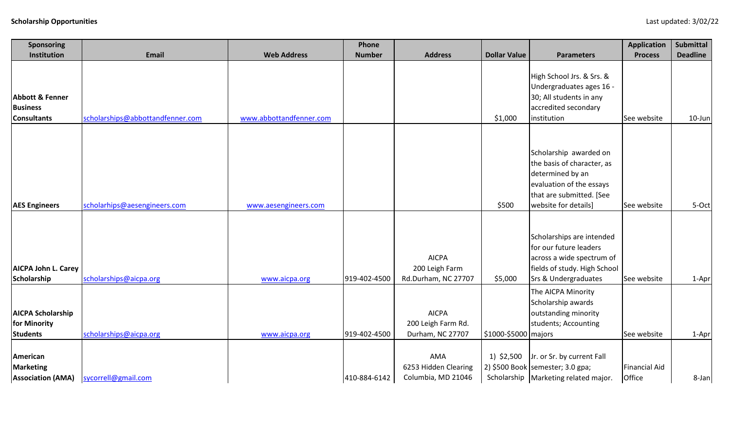| <b>Sponsoring</b>                                                   |                                  |                         | Phone         |                                                        |                      |                                                                                                                                                          | <b>Application</b>      | Submittal       |
|---------------------------------------------------------------------|----------------------------------|-------------------------|---------------|--------------------------------------------------------|----------------------|----------------------------------------------------------------------------------------------------------------------------------------------------------|-------------------------|-----------------|
| Institution                                                         | <b>Email</b>                     | <b>Web Address</b>      | <b>Number</b> | <b>Address</b>                                         | <b>Dollar Value</b>  | <b>Parameters</b>                                                                                                                                        | <b>Process</b>          | <b>Deadline</b> |
| <b>Abbott &amp; Fenner</b><br><b>Business</b><br><b>Consultants</b> | scholarships@abbottandfenner.com | www.abbottandfenner.com |               |                                                        | \$1,000              | High School Jrs. & Srs. &<br>Undergraduates ages 16 -<br>30; All students in any<br>accredited secondary<br>institution                                  | See website             | 10-Jun          |
| <b>AES Engineers</b>                                                | scholarhips@aesengineers.com     | www.aesengineers.com    |               |                                                        | \$500                | Scholarship awarded on<br>the basis of character, as<br>determined by an<br>evaluation of the essays<br>that are submitted. [See<br>website for details] | See website             | 5-Oct           |
| <b>AICPA John L. Carey</b><br>Scholarship                           | scholarships@aicpa.org           | www.aicpa.org           | 919-402-4500  | <b>AICPA</b><br>200 Leigh Farm<br>Rd.Durham, NC 27707  | \$5,000              | Scholarships are intended<br>for our future leaders<br>across a wide spectrum of<br>fields of study. High School<br><b>Srs &amp; Undergraduates</b>      | See website             | 1-Apr           |
| <b>AICPA Scholarship</b><br>for Minority<br><b>Students</b>         | scholarships@aicpa.org           | www.aicpa.org           | 919-402-4500  | <b>AICPA</b><br>200 Leigh Farm Rd.<br>Durham, NC 27707 | \$1000-\$5000 majors | The AICPA Minority<br>Scholarship awards<br>outstanding minority<br>students; Accounting                                                                 | See website             | 1-Apr           |
| American<br><b>Marketing</b><br><b>Association (AMA)</b>            | sycorrell@gmail.com              |                         | 410-884-6142  | AMA<br>6253 Hidden Clearing<br>Columbia, MD 21046      |                      | 1) $$2,500$ Jr. or Sr. by current Fall<br>2) \$500 Book semester; 3.0 gpa;<br>Scholarship   Marketing related major.                                     | Financial Aid<br>Office | 8-Jan           |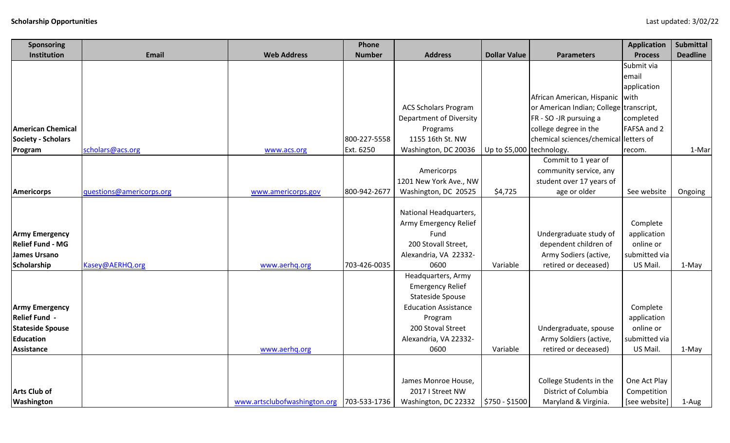| <b>Sponsoring</b>         |                          |                              | Phone         |                                |                           |                                         | <b>Application</b> | <b>Submittal</b> |
|---------------------------|--------------------------|------------------------------|---------------|--------------------------------|---------------------------|-----------------------------------------|--------------------|------------------|
| Institution               | <b>Email</b>             | <b>Web Address</b>           | <b>Number</b> | <b>Address</b>                 | <b>Dollar Value</b>       | <b>Parameters</b>                       | <b>Process</b>     | <b>Deadline</b>  |
|                           |                          |                              |               |                                |                           |                                         | Submit via         |                  |
|                           |                          |                              |               |                                |                           |                                         | email              |                  |
|                           |                          |                              |               |                                |                           |                                         | application        |                  |
|                           |                          |                              |               |                                |                           | African American, Hispanic   with       |                    |                  |
|                           |                          |                              |               | <b>ACS Scholars Program</b>    |                           | or American Indian; College transcript, |                    |                  |
|                           |                          |                              |               | <b>Department of Diversity</b> |                           | FR - SO -JR pursuing a                  | completed          |                  |
| <b>American Chemical</b>  |                          |                              |               | Programs                       |                           | college degree in the                   | FAFSA and 2        |                  |
| <b>Society - Scholars</b> |                          |                              | 800-227-5558  | 1155 16th St. NW               |                           | chemical sciences/chemical letters of   |                    |                  |
| Program                   | scholars@acs.org         | www.acs.org                  | Ext. 6250     | Washington, DC 20036           | Up to \$5,000 technology. |                                         | recom.             | 1-Mar            |
|                           |                          |                              |               |                                |                           | Commit to 1 year of                     |                    |                  |
|                           |                          |                              |               | Americorps                     |                           | community service, any                  |                    |                  |
|                           |                          |                              |               | 1201 New York Ave., NW         |                           | student over 17 years of                |                    |                  |
| <b>Americorps</b>         | questions@americorps.org | www.americorps.gov           | 800-942-2677  | Washington, DC 20525           | \$4,725                   | age or older                            | See website        | Ongoing          |
|                           |                          |                              |               |                                |                           |                                         |                    |                  |
|                           |                          |                              |               | National Headquarters,         |                           |                                         |                    |                  |
|                           |                          |                              |               | Army Emergency Relief          |                           |                                         | Complete           |                  |
| <b>Army Emergency</b>     |                          |                              |               | Fund                           |                           | Undergraduate study of                  | application        |                  |
| <b>Relief Fund - MG</b>   |                          |                              |               | 200 Stovall Street,            |                           | dependent children of                   | online or          |                  |
| <b>James Ursano</b>       |                          |                              |               | Alexandria, VA 22332-          |                           | Army Sodiers (active,                   | submitted via      |                  |
| Scholarship               | Kasey@AERHQ.org          | www.aerhq.org                | 703-426-0035  | 0600                           | Variable                  | retired or deceased)                    | US Mail.           | 1-May            |
|                           |                          |                              |               | Headquarters, Army             |                           |                                         |                    |                  |
|                           |                          |                              |               | <b>Emergency Relief</b>        |                           |                                         |                    |                  |
|                           |                          |                              |               | <b>Stateside Spouse</b>        |                           |                                         |                    |                  |
| <b>Army Emergency</b>     |                          |                              |               | <b>Education Assistance</b>    |                           |                                         | Complete           |                  |
| <b>Relief Fund -</b>      |                          |                              |               | Program                        |                           |                                         | application        |                  |
| <b>Stateside Spouse</b>   |                          |                              |               | 200 Stoval Street              |                           | Undergraduate, spouse                   | online or          |                  |
| <b>Education</b>          |                          |                              |               | Alexandria, VA 22332-          |                           | Army Soldiers (active,                  | submitted via      |                  |
| <b>Assistance</b>         |                          | www.aerhq.org                |               | 0600                           | Variable                  | retired or deceased)                    | US Mail.           | 1-May            |
|                           |                          |                              |               |                                |                           |                                         |                    |                  |
|                           |                          |                              |               | James Monroe House,            |                           | College Students in the                 | One Act Play       |                  |
| <b>Arts Club of</b>       |                          |                              |               | 2017   Street NW               |                           | District of Columbia                    | Competition        |                  |
| Washington                |                          | www.artsclubofwashington.org | 703-533-1736  | Washington, DC 22332           | $$750 - $1500$            | Maryland & Virginia.                    | [see website]      | 1-Aug            |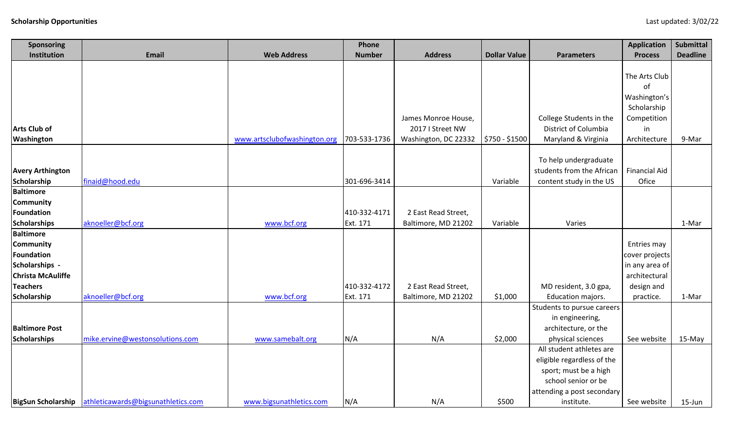| <b>Sponsoring</b>              |                                                       |                              | Phone         |                      |                     |                            | <b>Application</b>               | <b>Submittal</b> |
|--------------------------------|-------------------------------------------------------|------------------------------|---------------|----------------------|---------------------|----------------------------|----------------------------------|------------------|
| Institution                    | <b>Email</b>                                          | <b>Web Address</b>           | <b>Number</b> | <b>Address</b>       | <b>Dollar Value</b> | <b>Parameters</b>          | <b>Process</b>                   | <b>Deadline</b>  |
|                                |                                                       |                              |               |                      |                     |                            |                                  |                  |
|                                |                                                       |                              |               |                      |                     |                            | The Arts Club                    |                  |
|                                |                                                       |                              |               |                      |                     |                            | of                               |                  |
|                                |                                                       |                              |               |                      |                     |                            | Washington's                     |                  |
|                                |                                                       |                              |               |                      |                     |                            | Scholarship                      |                  |
|                                |                                                       |                              |               | James Monroe House,  |                     | College Students in the    | Competition                      |                  |
| <b>Arts Club of</b>            |                                                       |                              |               | 2017 I Street NW     |                     | District of Columbia       | in                               |                  |
| Washington                     |                                                       | www.artsclubofwashington.org | 703-533-1736  | Washington, DC 22332 | \$750 - \$1500      | Maryland & Virginia        | Architecture                     | 9-Mar            |
|                                |                                                       |                              |               |                      |                     |                            |                                  |                  |
|                                |                                                       |                              |               |                      |                     | To help undergraduate      |                                  |                  |
| <b>Avery Arthington</b>        |                                                       |                              |               |                      |                     | students from the African  | <b>Financial Aid</b>             |                  |
| <b>Scholarship</b>             | finaid@hood.edu                                       |                              | 301-696-3414  |                      | Variable            | content study in the US    | Ofice                            |                  |
| <b>Baltimore</b>               |                                                       |                              |               |                      |                     |                            |                                  |                  |
| <b>Community</b>               |                                                       |                              |               |                      |                     |                            |                                  |                  |
| Foundation                     |                                                       |                              | 410-332-4171  | 2 East Read Street,  |                     |                            |                                  |                  |
| <b>Scholarships</b>            | aknoeller@bcf.org                                     | www.bcf.org                  | Ext. 171      | Baltimore, MD 21202  | Variable            | Varies                     |                                  | 1-Mar            |
| <b>Baltimore</b>               |                                                       |                              |               |                      |                     |                            |                                  |                  |
| <b>Community</b><br>Foundation |                                                       |                              |               |                      |                     |                            | Entries may                      |                  |
| Scholarships -                 |                                                       |                              |               |                      |                     |                            | cover projects<br>in any area of |                  |
| <b>Christa McAuliffe</b>       |                                                       |                              |               |                      |                     |                            | architectural                    |                  |
| <b>Teachers</b>                |                                                       |                              | 410-332-4172  | 2 East Read Street,  |                     | MD resident, 3.0 gpa,      | design and                       |                  |
| Scholarship                    | aknoeller@bcf.org                                     | www.bcf.org                  | Ext. 171      | Baltimore, MD 21202  | \$1,000             | Education majors.          | practice.                        | 1-Mar            |
|                                |                                                       |                              |               |                      |                     | Students to pursue careers |                                  |                  |
|                                |                                                       |                              |               |                      |                     | in engineering,            |                                  |                  |
| <b>Baltimore Post</b>          |                                                       |                              |               |                      |                     | architecture, or the       |                                  |                  |
| <b>Scholarships</b>            | mike.ervine@westonsolutions.com                       | www.samebalt.org             | N/A           | N/A                  | \$2,000             | physical sciences          | See website                      | 15-May           |
|                                |                                                       |                              |               |                      |                     | All student athletes are   |                                  |                  |
|                                |                                                       |                              |               |                      |                     | eligible regardless of the |                                  |                  |
|                                |                                                       |                              |               |                      |                     | sport; must be a high      |                                  |                  |
|                                |                                                       |                              |               |                      |                     | school senior or be        |                                  |                  |
|                                |                                                       |                              |               |                      |                     | attending a post secondary |                                  |                  |
|                                | BigSun Scholarship athleticawards@bigsunathletics.com | www.bigsunathletics.com      | N/A           | N/A                  | \$500               | institute.                 | See website                      | $15$ -Jun        |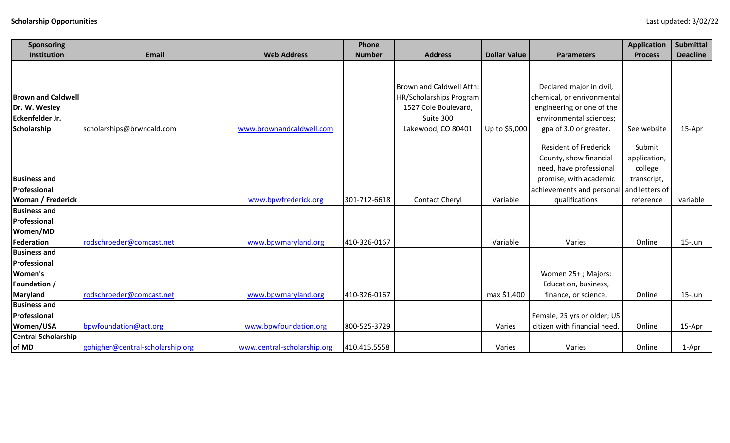| <b>Sponsoring</b>             |                                  |                             | Phone         |                          |                     |                              | <b>Application</b> | Submittal       |
|-------------------------------|----------------------------------|-----------------------------|---------------|--------------------------|---------------------|------------------------------|--------------------|-----------------|
| Institution                   | Email                            | <b>Web Address</b>          | <b>Number</b> | <b>Address</b>           | <b>Dollar Value</b> | <b>Parameters</b>            | <b>Process</b>     | <b>Deadline</b> |
|                               |                                  |                             |               |                          |                     |                              |                    |                 |
|                               |                                  |                             |               |                          |                     |                              |                    |                 |
|                               |                                  |                             |               | Brown and Caldwell Attn: |                     | Declared major in civil,     |                    |                 |
| <b>Brown and Caldwell</b>     |                                  |                             |               | HR/Scholarships Program  |                     | chemical, or enrivonmental   |                    |                 |
| Dr. W. Wesley                 |                                  |                             |               | 1527 Cole Boulevard,     |                     | engineering or one of the    |                    |                 |
| Eckenfelder Jr.               |                                  |                             |               | Suite 300                |                     | environmental sciences;      |                    |                 |
| Scholarship                   | scholarships@brwncald.com        | www.brownandcaldwell.com    |               | Lakewood, CO 80401       | Up to \$5,000       | gpa of 3.0 or greater.       | See website        | 15-Apr          |
|                               |                                  |                             |               |                          |                     | <b>Resident of Frederick</b> | Submit             |                 |
|                               |                                  |                             |               |                          |                     |                              |                    |                 |
|                               |                                  |                             |               |                          |                     | County, show financial       | application,       |                 |
|                               |                                  |                             |               |                          |                     | need, have professional      | college            |                 |
| <b>Business and</b>           |                                  |                             |               |                          |                     | promise, with academic       | transcript,        |                 |
| Professional                  |                                  |                             |               |                          |                     | achievements and personal    | and letters of     |                 |
| Woman / Frederick             |                                  | www.bpwfrederick.org        | 301-712-6618  | <b>Contact Cheryl</b>    | Variable            | qualifications               | reference          | variable        |
| <b>Business and</b>           |                                  |                             |               |                          |                     |                              |                    |                 |
| Professional                  |                                  |                             |               |                          |                     |                              |                    |                 |
| Women/MD<br><b>Federation</b> | rodschroeder@comcast.net         | www.bpwmaryland.org         | 410-326-0167  |                          | Variable            | Varies                       | Online             | $15$ -Jun       |
| <b>Business and</b>           |                                  |                             |               |                          |                     |                              |                    |                 |
| Professional                  |                                  |                             |               |                          |                     |                              |                    |                 |
| <b>Women's</b>                |                                  |                             |               |                          |                     | Women 25+; Majors:           |                    |                 |
| Foundation /                  |                                  |                             |               |                          |                     | Education, business,         |                    |                 |
| <b>Maryland</b>               | rodschroeder@comcast.net         | www.bpwmaryland.org         | 410-326-0167  |                          | max \$1,400         | finance, or science.         | Online             | $15 - Jun$      |
| <b>Business and</b>           |                                  |                             |               |                          |                     |                              |                    |                 |
| Professional                  |                                  |                             |               |                          |                     | Female, 25 yrs or older; US  |                    |                 |
| Women/USA                     | bpwfoundation@act.org            | www.bpwfoundation.org       | 800-525-3729  |                          | Varies              | citizen with financial need. | Online             | 15-Apr          |
| <b>Central Scholarship</b>    |                                  |                             |               |                          |                     |                              |                    |                 |
| of MD                         | gohigher@central-scholarship.org | www.central-scholarship.org | 410.415.5558  |                          | Varies              | Varies                       | Online             | 1-Apr           |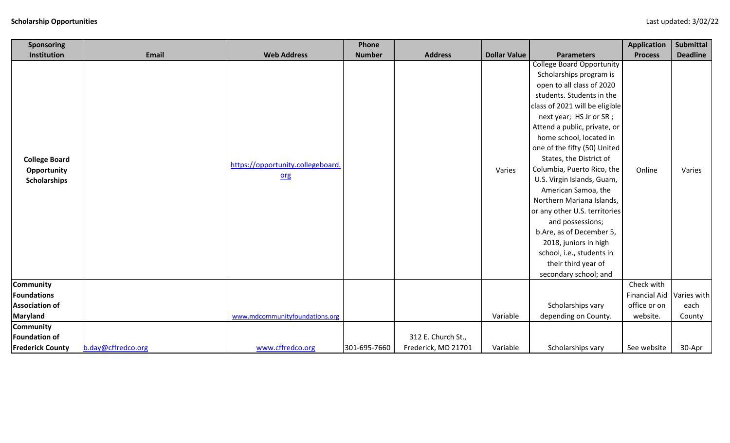| Sponsoring                                                 |                    |                                          | Phone         |                     |                     |                                                                                                                                                                                                                                                                                                                                                                                                                                                                                                                                                                                                                 | <b>Application</b>   | Submittal       |
|------------------------------------------------------------|--------------------|------------------------------------------|---------------|---------------------|---------------------|-----------------------------------------------------------------------------------------------------------------------------------------------------------------------------------------------------------------------------------------------------------------------------------------------------------------------------------------------------------------------------------------------------------------------------------------------------------------------------------------------------------------------------------------------------------------------------------------------------------------|----------------------|-----------------|
| Institution                                                | <b>Email</b>       | <b>Web Address</b>                       | <b>Number</b> | <b>Address</b>      | <b>Dollar Value</b> | <b>Parameters</b>                                                                                                                                                                                                                                                                                                                                                                                                                                                                                                                                                                                               | <b>Process</b>       | <b>Deadline</b> |
| <b>College Board</b><br>Opportunity<br><b>Scholarships</b> |                    | https://opportunity.collegeboard.<br>org |               |                     | Varies              | <b>College Board Opportunity</b><br>Scholarships program is<br>open to all class of 2020<br>students. Students in the<br>class of 2021 will be eligible<br>next year; HS Jr or SR;<br>Attend a public, private, or<br>home school, located in<br>one of the fifty (50) United<br>States, the District of<br>Columbia, Puerto Rico, the<br>U.S. Virgin Islands, Guam,<br>American Samoa, the<br>Northern Mariana Islands,<br>or any other U.S. territories<br>and possessions;<br>b.Are, as of December 5,<br>2018, juniors in high<br>school, i.e., students in<br>their third year of<br>secondary school; and | Online               | Varies          |
| Community                                                  |                    |                                          |               |                     |                     |                                                                                                                                                                                                                                                                                                                                                                                                                                                                                                                                                                                                                 | Check with           |                 |
| <b>Foundations</b>                                         |                    |                                          |               |                     |                     |                                                                                                                                                                                                                                                                                                                                                                                                                                                                                                                                                                                                                 | <b>Financial Aid</b> | Varies with     |
| <b>Association of</b>                                      |                    |                                          |               |                     |                     | Scholarships vary                                                                                                                                                                                                                                                                                                                                                                                                                                                                                                                                                                                               | office or on         | each            |
| Maryland                                                   |                    | www.mdcommunityfoundations.org           |               |                     | Variable            | depending on County.                                                                                                                                                                                                                                                                                                                                                                                                                                                                                                                                                                                            | website.             | County          |
| <b>Community</b><br><b>Foundation of</b>                   |                    |                                          |               | 312 E. Church St.,  |                     |                                                                                                                                                                                                                                                                                                                                                                                                                                                                                                                                                                                                                 |                      |                 |
| <b>Frederick County</b>                                    | b.day@cffredco.org | www.cffredco.org                         | 301-695-7660  | Frederick, MD 21701 | Variable            | Scholarships vary                                                                                                                                                                                                                                                                                                                                                                                                                                                                                                                                                                                               | See website          | 30-Apr          |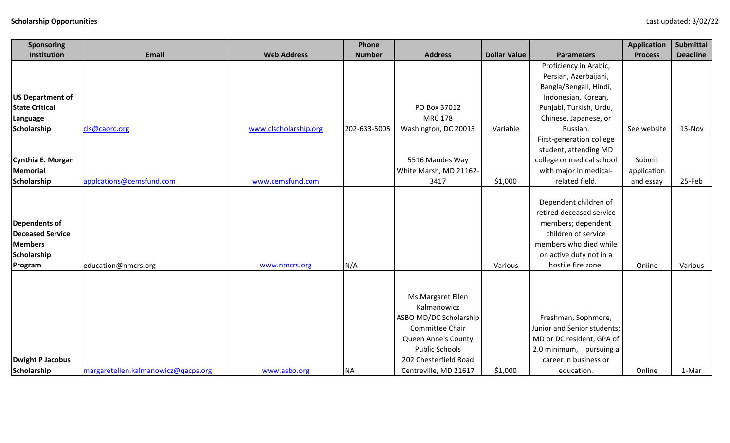| <b>Sponsoring</b>       |                                     |                       | Phone         |                        |                     |                                                   | <b>Application</b> | <b>Submittal</b> |
|-------------------------|-------------------------------------|-----------------------|---------------|------------------------|---------------------|---------------------------------------------------|--------------------|------------------|
| Institution             | <b>Email</b>                        | <b>Web Address</b>    | <b>Number</b> | <b>Address</b>         | <b>Dollar Value</b> | <b>Parameters</b>                                 | <b>Process</b>     | <b>Deadline</b>  |
|                         |                                     |                       |               |                        |                     | Proficiency in Arabic,                            |                    |                  |
|                         |                                     |                       |               |                        |                     | Persian, Azerbaijani,                             |                    |                  |
|                         |                                     |                       |               |                        |                     | Bangla/Bengali, Hindi,                            |                    |                  |
| <b>US Department of</b> |                                     |                       |               |                        |                     | Indonesian, Korean,                               |                    |                  |
| <b>State Critical</b>   |                                     |                       |               | PO Box 37012           |                     | Punjabi, Turkish, Urdu,                           |                    |                  |
| Language                |                                     |                       |               | <b>MRC 178</b>         |                     | Chinese, Japanese, or                             |                    |                  |
| Scholarship             | cls@caorc.org                       | www.clscholarship.org | 202-633-5005  | Washington, DC 20013   | Variable            | Russian.                                          | See website        | 15-Nov           |
|                         |                                     |                       |               |                        |                     | First-generation college                          |                    |                  |
|                         |                                     |                       |               |                        |                     | student, attending MD                             |                    |                  |
| Cynthia E. Morgan       |                                     |                       |               | 5516 Maudes Way        |                     | college or medical school                         | Submit             |                  |
| Memorial                |                                     |                       |               | White Marsh, MD 21162- |                     | with major in medical-                            | application        |                  |
| Scholarship             | applcations@cemsfund.com            | www.cemsfund.com      |               | 3417                   | \$1,000             | related field.                                    | and essay          | 25-Feb           |
|                         |                                     |                       |               |                        |                     | Dependent children of<br>retired deceased service |                    |                  |
| Dependents of           |                                     |                       |               |                        |                     | members; dependent                                |                    |                  |
| <b>Deceased Service</b> |                                     |                       |               |                        |                     | children of service                               |                    |                  |
| <b>Members</b>          |                                     |                       |               |                        |                     | members who died while                            |                    |                  |
| Scholarship             |                                     |                       |               |                        |                     | on active duty not in a                           |                    |                  |
| Program                 | education@nmcrs.org                 | www.nmcrs.org         | N/A           |                        | Various             | hostile fire zone.                                | Online             | Various          |
|                         |                                     |                       |               | Ms.Margaret Ellen      |                     |                                                   |                    |                  |
|                         |                                     |                       |               | Kalmanowicz            |                     |                                                   |                    |                  |
|                         |                                     |                       |               | ASBO MD/DC Scholarship |                     | Freshman, Sophmore,                               |                    |                  |
|                         |                                     |                       |               | Committee Chair        |                     | Junior and Senior students;                       |                    |                  |
|                         |                                     |                       |               | Queen Anne's County    |                     | MD or DC resident, GPA of                         |                    |                  |
|                         |                                     |                       |               | <b>Public Schools</b>  |                     | 2.0 minimum, pursuing a                           |                    |                  |
| <b>Dwight P Jacobus</b> |                                     |                       |               | 202 Chesterfield Road  |                     | career in business or                             |                    |                  |
| Scholarship             | margaretellen.kalmanowicz@qacps.org | www.asbo.org          | <b>NA</b>     | Centreville, MD 21617  | \$1,000             | education.                                        | Online             | 1-Mar            |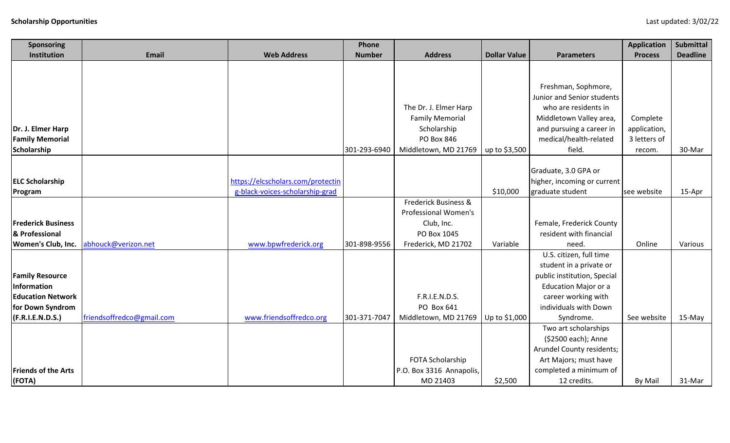| Sponsoring                                  |                           |                                   | Phone         |                                       |                     |                                                    | <b>Application</b>           | <b>Submittal</b> |
|---------------------------------------------|---------------------------|-----------------------------------|---------------|---------------------------------------|---------------------|----------------------------------------------------|------------------------------|------------------|
| Institution                                 | <b>Email</b>              | <b>Web Address</b>                | <b>Number</b> | <b>Address</b>                        | <b>Dollar Value</b> | <b>Parameters</b>                                  | <b>Process</b>               | <b>Deadline</b>  |
|                                             |                           |                                   |               |                                       |                     |                                                    |                              |                  |
|                                             |                           |                                   |               |                                       |                     |                                                    |                              |                  |
|                                             |                           |                                   |               |                                       |                     | Freshman, Sophmore,                                |                              |                  |
|                                             |                           |                                   |               |                                       |                     | Junior and Senior students                         |                              |                  |
|                                             |                           |                                   |               | The Dr. J. Elmer Harp                 |                     | who are residents in                               |                              |                  |
|                                             |                           |                                   |               | <b>Family Memorial</b><br>Scholarship |                     | Middletown Valley area,                            | Complete                     |                  |
| Dr. J. Elmer Harp<br><b>Family Memorial</b> |                           |                                   |               | PO Box 846                            |                     | and pursuing a career in<br>medical/health-related | application,<br>3 letters of |                  |
| Scholarship                                 |                           |                                   | 301-293-6940  | Middletown, MD 21769                  | up to \$3,500       | field.                                             | recom.                       | 30-Mar           |
|                                             |                           |                                   |               |                                       |                     |                                                    |                              |                  |
|                                             |                           |                                   |               |                                       |                     | Graduate, 3.0 GPA or                               |                              |                  |
| <b>ELC Scholarship</b>                      |                           | https://elcscholars.com/protectin |               |                                       |                     | higher, incoming or current                        |                              |                  |
| Program                                     |                           | g-black-voices-scholarship-grad   |               |                                       | \$10,000            | graduate student                                   | see website                  | 15-Apr           |
|                                             |                           |                                   |               | Frederick Business &                  |                     |                                                    |                              |                  |
|                                             |                           |                                   |               | Professional Women's                  |                     |                                                    |                              |                  |
| <b>Frederick Business</b>                   |                           |                                   |               | Club, Inc.                            |                     | Female, Frederick County                           |                              |                  |
| & Professional                              |                           |                                   |               | PO Box 1045                           |                     | resident with financial                            |                              |                  |
| Women's Club, Inc.                          | abhouck@verizon.net       | www.bpwfrederick.org              | 301-898-9556  | Frederick, MD 21702                   | Variable            | need.                                              | Online                       | Various          |
|                                             |                           |                                   |               |                                       |                     | U.S. citizen, full time                            |                              |                  |
|                                             |                           |                                   |               |                                       |                     | student in a private or                            |                              |                  |
| <b>Family Resource</b>                      |                           |                                   |               |                                       |                     | public institution, Special                        |                              |                  |
| <b>Information</b>                          |                           |                                   |               |                                       |                     | <b>Education Major or a</b>                        |                              |                  |
| <b>Education Network</b>                    |                           |                                   |               | F.R.I.E.N.D.S.                        |                     | career working with                                |                              |                  |
| for Down Syndrom                            |                           |                                   |               | PO Box 641                            |                     | individuals with Down                              |                              |                  |
| (F.R.I.E.N.D.S.)                            | friendsoffredco@gmail.com | www.friendsoffredco.org           | 301-371-7047  | Middletown, MD 21769   Up to \$1,000  |                     | Syndrome.                                          | See website                  | 15-May           |
|                                             |                           |                                   |               |                                       |                     | Two art scholarships                               |                              |                  |
|                                             |                           |                                   |               |                                       |                     | (\$2500 each); Anne                                |                              |                  |
|                                             |                           |                                   |               |                                       |                     | Arundel County residents;                          |                              |                  |
|                                             |                           |                                   |               | FOTA Scholarship                      |                     | Art Majors; must have                              |                              |                  |
| <b>Friends of the Arts</b>                  |                           |                                   |               | P.O. Box 3316 Annapolis,              |                     | completed a minimum of                             |                              |                  |
| (FOTA)                                      |                           |                                   |               | MD 21403                              | \$2,500             | 12 credits.                                        | By Mail                      | 31-Mar           |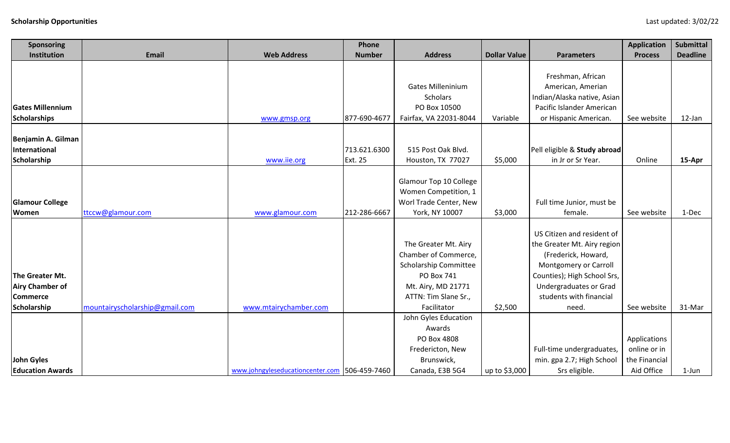| <b>Sponsoring</b>       |                                |                                               | Phone         |                          |                     |                              | <b>Application</b> | <b>Submittal</b> |
|-------------------------|--------------------------------|-----------------------------------------------|---------------|--------------------------|---------------------|------------------------------|--------------------|------------------|
| Institution             | <b>Email</b>                   | <b>Web Address</b>                            | <b>Number</b> | <b>Address</b>           | <b>Dollar Value</b> | <b>Parameters</b>            | <b>Process</b>     | <b>Deadline</b>  |
|                         |                                |                                               |               |                          |                     |                              |                    |                  |
|                         |                                |                                               |               |                          |                     | Freshman, African            |                    |                  |
|                         |                                |                                               |               | <b>Gates Milleninium</b> |                     | American, Amerian            |                    |                  |
|                         |                                |                                               |               | <b>Scholars</b>          |                     | Indian/Alaska native, Asian  |                    |                  |
| <b>Gates Millennium</b> |                                |                                               |               | PO Box 10500             |                     | Pacific Islander American    |                    |                  |
| Scholarships            |                                | www.gmsp.org                                  | 877-690-4677  | Fairfax, VA 22031-8044   | Variable            | or Hispanic American.        | See website        | 12-Jan           |
|                         |                                |                                               |               |                          |                     |                              |                    |                  |
| Benjamin A. Gilman      |                                |                                               |               |                          |                     |                              |                    |                  |
| International           |                                |                                               | 713.621.6300  | 515 Post Oak Blvd.       |                     | Pell eligible & Study abroad |                    |                  |
| Scholarship             |                                | www.iie.org                                   | Ext. 25       | Houston, TX 77027        | \$5,000             | in Jr or Sr Year.            | Online             | 15-Apr           |
|                         |                                |                                               |               |                          |                     |                              |                    |                  |
|                         |                                |                                               |               | Glamour Top 10 College   |                     |                              |                    |                  |
|                         |                                |                                               |               | Women Competition, 1     |                     |                              |                    |                  |
| <b>Glamour College</b>  |                                |                                               |               | Worl Trade Center, New   |                     | Full time Junior, must be    |                    |                  |
| Women                   | ttccw@glamour.com              | www.glamour.com                               | 212-286-6667  | York, NY 10007           | \$3,000             | female.                      | See website        | 1-Dec            |
|                         |                                |                                               |               |                          |                     |                              |                    |                  |
|                         |                                |                                               |               |                          |                     | US Citizen and resident of   |                    |                  |
|                         |                                |                                               |               | The Greater Mt. Airy     |                     | the Greater Mt. Airy region  |                    |                  |
|                         |                                |                                               |               | Chamber of Commerce,     |                     | (Frederick, Howard,          |                    |                  |
|                         |                                |                                               |               | Scholarship Committee    |                     | Montgomery or Carroll        |                    |                  |
| The Greater Mt.         |                                |                                               |               | PO Box 741               |                     | Counties); High School Srs,  |                    |                  |
| <b>Airy Chamber of</b>  |                                |                                               |               | Mt. Airy, MD 21771       |                     | Undergraduates or Grad       |                    |                  |
| <b>Commerce</b>         |                                |                                               |               | ATTN: Tim Slane Sr.,     |                     | students with financial      |                    |                  |
| Scholarship             | mountairyscholarship@gmail.com | www.mtairychamber.com                         |               | Facilitator              | \$2,500             | need.                        | See website        | 31-Mar           |
|                         |                                |                                               |               | John Gyles Education     |                     |                              |                    |                  |
|                         |                                |                                               |               | Awards                   |                     |                              |                    |                  |
|                         |                                |                                               |               | PO Box 4808              |                     |                              | Applications       |                  |
|                         |                                |                                               |               | Fredericton, New         |                     | Full-time undergraduates,    | online or in       |                  |
| John Gyles              |                                |                                               |               | Brunswick,               |                     | min. gpa 2.7; High School    | the Financial      |                  |
| <b>Education Awards</b> |                                | www.johngyleseducationcenter.com 506-459-7460 |               | Canada, E3B 5G4          | up to \$3,000       | Srs eligible.                | Aid Office         | 1-Jun            |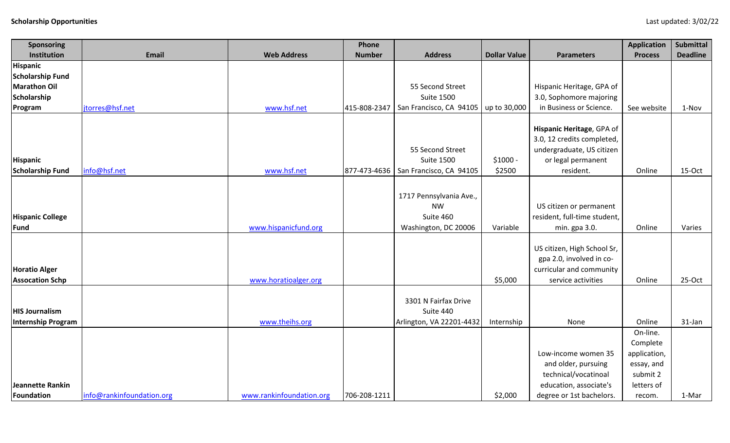| <b>Sponsoring</b>       |                           |                          | Phone         |                                        |                     |                              | <b>Application</b>       | <b>Submittal</b> |
|-------------------------|---------------------------|--------------------------|---------------|----------------------------------------|---------------------|------------------------------|--------------------------|------------------|
| Institution             | <b>Email</b>              | <b>Web Address</b>       | <b>Number</b> | <b>Address</b>                         | <b>Dollar Value</b> | <b>Parameters</b>            | <b>Process</b>           | <b>Deadline</b>  |
| Hispanic                |                           |                          |               |                                        |                     |                              |                          |                  |
| <b>Scholarship Fund</b> |                           |                          |               |                                        |                     |                              |                          |                  |
| <b>Marathon Oil</b>     |                           |                          |               | 55 Second Street                       |                     | Hispanic Heritage, GPA of    |                          |                  |
| Scholarship             |                           |                          |               | <b>Suite 1500</b>                      |                     | 3.0, Sophomore majoring      |                          |                  |
| Program                 | jtorres@hsf.net           | www.hsf.net              | 415-808-2347  | San Francisco, CA 94105                | up to 30,000        | in Business or Science.      | See website              | 1-Nov            |
|                         |                           |                          |               |                                        |                     |                              |                          |                  |
|                         |                           |                          |               |                                        |                     | Hispanic Heritage, GPA of    |                          |                  |
|                         |                           |                          |               |                                        |                     | 3.0, 12 credits completed,   |                          |                  |
|                         |                           |                          |               | 55 Second Street<br><b>Suite 1500</b>  | $$1000 -$           | undergraduate, US citizen    |                          |                  |
| <b>Hispanic</b>         |                           |                          |               |                                        |                     | or legal permanent           |                          |                  |
| <b>Scholarship Fund</b> | info@hsf.net              | www.hsf.net              |               | 877-473-4636   San Francisco, CA 94105 | \$2500              | resident.                    | Online                   | 15-Oct           |
|                         |                           |                          |               |                                        |                     |                              |                          |                  |
|                         |                           |                          |               | 1717 Pennsylvania Ave.,                |                     |                              |                          |                  |
|                         |                           |                          |               | <b>NW</b>                              |                     | US citizen or permanent      |                          |                  |
| <b>Hispanic College</b> |                           |                          |               | Suite 460                              |                     | resident, full-time student, |                          |                  |
| <b>Fund</b>             |                           | www.hispanicfund.org     |               | Washington, DC 20006                   | Variable            | min. gpa 3.0.                | Online                   | Varies           |
|                         |                           |                          |               |                                        |                     |                              |                          |                  |
|                         |                           |                          |               |                                        |                     | US citizen, High School Sr,  |                          |                  |
|                         |                           |                          |               |                                        |                     | gpa 2.0, involved in co-     |                          |                  |
| <b>Horatio Alger</b>    |                           |                          |               |                                        |                     | curricular and community     |                          |                  |
| <b>Assocation Schp</b>  |                           | www.horatioalger.org     |               |                                        | \$5,000             | service activities           | Online                   | 25-Oct           |
|                         |                           |                          |               | 3301 N Fairfax Drive                   |                     |                              |                          |                  |
| <b>HIS Journalism</b>   |                           |                          |               |                                        |                     |                              |                          |                  |
| Internship Program      |                           | www.theihs.org           |               | Suite 440                              |                     |                              |                          |                  |
|                         |                           |                          |               | Arlington, VA 22201-4432               | Internship          | None                         | Online<br>On-line.       | 31-Jan           |
|                         |                           |                          |               |                                        |                     |                              |                          |                  |
|                         |                           |                          |               |                                        |                     | Low-income women 35          | Complete<br>application, |                  |
|                         |                           |                          |               |                                        |                     | and older, pursuing          | essay, and               |                  |
|                         |                           |                          |               |                                        |                     | technical/vocatinoal         | submit 2                 |                  |
| Jeannette Rankin        |                           |                          |               |                                        |                     | education, associate's       | letters of               |                  |
|                         | info@rankinfoundation.org | www.rankinfoundation.org | 706-208-1211  |                                        | \$2,000             |                              |                          |                  |
| Foundation              |                           |                          |               |                                        |                     | degree or 1st bachelors.     | recom.                   | 1-Mar            |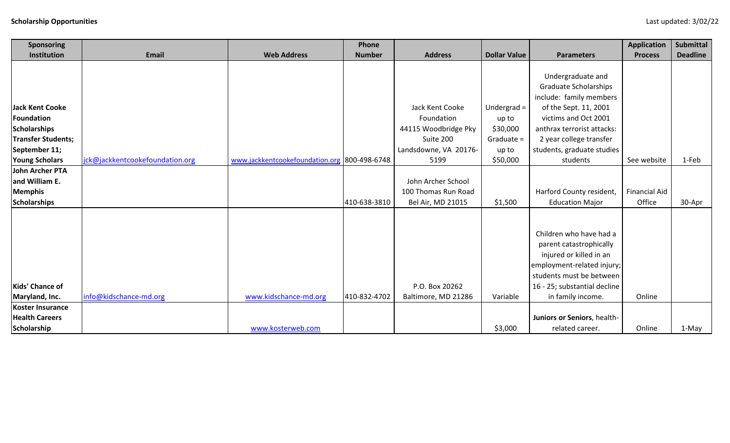| Sponsoring                |                                 |                                              | Phone         |                       |                     |                              | <b>Application</b>   | Submittal       |
|---------------------------|---------------------------------|----------------------------------------------|---------------|-----------------------|---------------------|------------------------------|----------------------|-----------------|
| Institution               | <b>Email</b>                    | <b>Web Address</b>                           | <b>Number</b> | <b>Address</b>        | <b>Dollar Value</b> | <b>Parameters</b>            | <b>Process</b>       | <b>Deadline</b> |
|                           |                                 |                                              |               |                       |                     |                              |                      |                 |
|                           |                                 |                                              |               |                       |                     | Undergraduate and            |                      |                 |
|                           |                                 |                                              |               |                       |                     | <b>Graduate Scholarships</b> |                      |                 |
|                           |                                 |                                              |               |                       |                     | include: family members      |                      |                 |
| <b>Jack Kent Cooke</b>    |                                 |                                              |               | Jack Kent Cooke       | Undergrad $=$       | of the Sept. 11, 2001        |                      |                 |
| <b>Foundation</b>         |                                 |                                              |               | Foundation            | up to               | victims and Oct 2001         |                      |                 |
| <b>Scholarships</b>       |                                 |                                              |               | 44115 Woodbridge Pky  | \$30,000            | anthrax terrorist attacks:   |                      |                 |
| <b>Transfer Students;</b> |                                 |                                              |               | Suite 200             | Graduate =          | 2 year college transfer      |                      |                 |
| September 11;             |                                 |                                              |               | Landsdowne, VA 20176- | up to               | students, graduate studies   |                      |                 |
| <b>Young Scholars</b>     | jck@jackkentcookefoundation.org | www.jackkentcookefoundation.org 800-498-6748 |               | 5199                  | \$50,000            | students                     | See website          | 1-Feb           |
| <b>John Archer PTA</b>    |                                 |                                              |               |                       |                     |                              |                      |                 |
| and William E.            |                                 |                                              |               | John Archer School    |                     |                              |                      |                 |
| <b>Memphis</b>            |                                 |                                              |               | 100 Thomas Run Road   |                     | Harford County resident,     | <b>Financial Aid</b> |                 |
| <b>Scholarships</b>       |                                 |                                              | 410-638-3810  | Bel Air, MD 21015     | \$1,500             | <b>Education Major</b>       | Office               | 30-Apr          |
|                           |                                 |                                              |               |                       |                     |                              |                      |                 |
|                           |                                 |                                              |               |                       |                     |                              |                      |                 |
|                           |                                 |                                              |               |                       |                     | Children who have had a      |                      |                 |
|                           |                                 |                                              |               |                       |                     | parent catastrophically      |                      |                 |
|                           |                                 |                                              |               |                       |                     | injured or killed in an      |                      |                 |
|                           |                                 |                                              |               |                       |                     | employment-related injury;   |                      |                 |
|                           |                                 |                                              |               |                       |                     | students must be between     |                      |                 |
| Kids' Chance of           |                                 |                                              |               | P.O. Box 20262        |                     | 16 - 25; substantial decline |                      |                 |
| Maryland, Inc.            | info@kidschance-md.org          | www.kidschance-md.org                        | 410-832-4702  | Baltimore, MD 21286   | Variable            | in family income.            | Online               |                 |
| Koster Insurance          |                                 |                                              |               |                       |                     |                              |                      |                 |
| <b>Health Careers</b>     |                                 |                                              |               |                       |                     | Juniors or Seniors, health-  |                      |                 |
| Scholarship               |                                 | www.kosterweb.com                            |               |                       | \$3,000             | related career.              | Online               | 1-May           |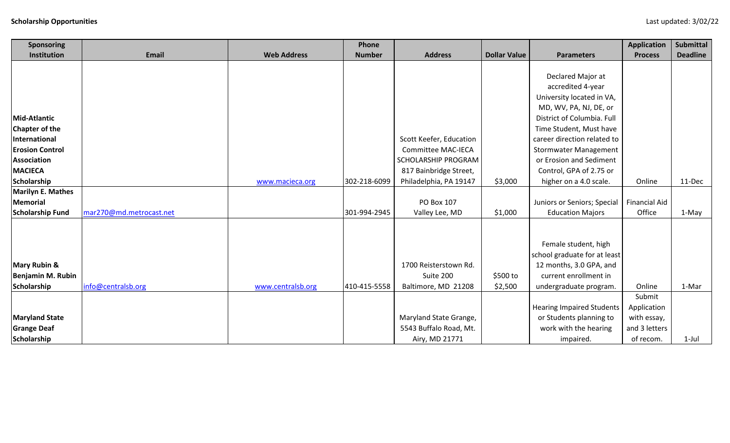| Sponsoring               |                         |                    | Phone         |                           |                     |                                  | <b>Application</b>   | <b>Submittal</b> |
|--------------------------|-------------------------|--------------------|---------------|---------------------------|---------------------|----------------------------------|----------------------|------------------|
| Institution              | Email                   | <b>Web Address</b> | <b>Number</b> | <b>Address</b>            | <b>Dollar Value</b> | <b>Parameters</b>                | <b>Process</b>       | <b>Deadline</b>  |
|                          |                         |                    |               |                           |                     |                                  |                      |                  |
|                          |                         |                    |               |                           |                     | Declared Major at                |                      |                  |
|                          |                         |                    |               |                           |                     | accredited 4-year                |                      |                  |
|                          |                         |                    |               |                           |                     | University located in VA,        |                      |                  |
|                          |                         |                    |               |                           |                     | MD, WV, PA, NJ, DE, or           |                      |                  |
| <b>Mid-Atlantic</b>      |                         |                    |               |                           |                     | District of Columbia. Full       |                      |                  |
| <b>Chapter of the</b>    |                         |                    |               |                           |                     | Time Student, Must have          |                      |                  |
| International            |                         |                    |               | Scott Keefer, Education   |                     | career direction related to      |                      |                  |
| <b>Erosion Control</b>   |                         |                    |               | <b>Committee MAC-IECA</b> |                     | <b>Stormwater Management</b>     |                      |                  |
| <b>Association</b>       |                         |                    |               | SCHOLARSHIP PROGRAM       |                     | or Erosion and Sediment          |                      |                  |
| <b>MACIECA</b>           |                         |                    |               | 817 Bainbridge Street,    |                     | Control, GPA of 2.75 or          |                      |                  |
| Scholarship              |                         | www.macieca.org    | 302-218-6099  | Philadelphia, PA 19147    | \$3,000             | higher on a 4.0 scale.           | Online               | 11-Dec           |
| <b>Marilyn E. Mathes</b> |                         |                    |               |                           |                     |                                  |                      |                  |
| <b>Memorial</b>          |                         |                    |               | PO Box 107                |                     | Juniors or Seniors; Special      | <b>Financial Aid</b> |                  |
| <b>Scholarship Fund</b>  | mar270@md.metrocast.net |                    | 301-994-2945  | Valley Lee, MD            | \$1,000             | <b>Education Majors</b>          | Office               | 1-May            |
|                          |                         |                    |               |                           |                     |                                  |                      |                  |
|                          |                         |                    |               |                           |                     |                                  |                      |                  |
|                          |                         |                    |               |                           |                     | Female student, high             |                      |                  |
|                          |                         |                    |               |                           |                     | school graduate for at least     |                      |                  |
| <b>Mary Rubin &amp;</b>  |                         |                    |               | 1700 Reisterstown Rd.     |                     | 12 months, 3.0 GPA, and          |                      |                  |
| Benjamin M. Rubin        |                         |                    |               | Suite 200                 | \$500 to            | current enrollment in            |                      |                  |
| Scholarship              | info@centralsb.org      | www.centralsb.org  | 410-415-5558  | Baltimore, MD 21208       | \$2,500             | undergraduate program.           | Online               | 1-Mar            |
|                          |                         |                    |               |                           |                     |                                  | Submit               |                  |
|                          |                         |                    |               |                           |                     | <b>Hearing Impaired Students</b> | Application          |                  |
| <b>Maryland State</b>    |                         |                    |               | Maryland State Grange,    |                     | or Students planning to          | with essay,          |                  |
| <b>Grange Deaf</b>       |                         |                    |               | 5543 Buffalo Road, Mt.    |                     | work with the hearing            | and 3 letters        |                  |
| Scholarship              |                         |                    |               | Airy, MD 21771            |                     | impaired.                        | of recom.            | $1$ -Jul         |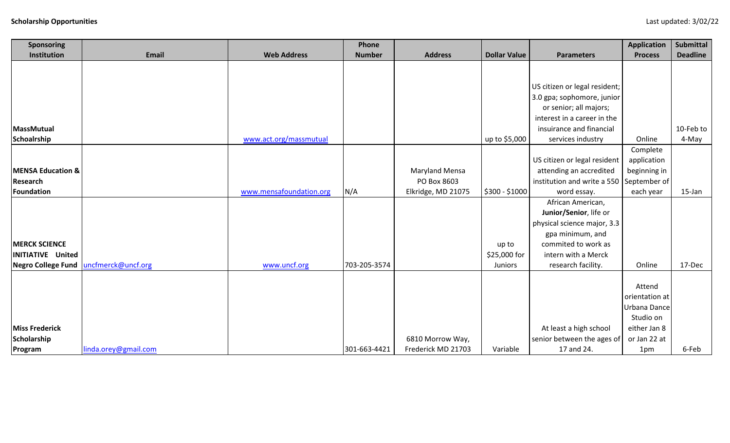| Sponsoring                   |                      |                         | Phone         |                       |                     |                               | <b>Application</b> | <b>Submittal</b> |
|------------------------------|----------------------|-------------------------|---------------|-----------------------|---------------------|-------------------------------|--------------------|------------------|
| Institution                  | <b>Email</b>         | <b>Web Address</b>      | <b>Number</b> | <b>Address</b>        | <b>Dollar Value</b> | <b>Parameters</b>             | <b>Process</b>     | <b>Deadline</b>  |
|                              |                      |                         |               |                       |                     |                               |                    |                  |
|                              |                      |                         |               |                       |                     |                               |                    |                  |
|                              |                      |                         |               |                       |                     | US citizen or legal resident; |                    |                  |
|                              |                      |                         |               |                       |                     | 3.0 gpa; sophomore, junior    |                    |                  |
|                              |                      |                         |               |                       |                     | or senior; all majors;        |                    |                  |
|                              |                      |                         |               |                       |                     | interest in a career in the   |                    |                  |
| MassMutual                   |                      |                         |               |                       |                     | insuirance and financial      |                    | 10-Feb to        |
| Schoalrship                  |                      | www.act.org/massmutual  |               |                       | up to \$5,000       | services industry             | Online             | 4-May            |
|                              |                      |                         |               |                       |                     |                               | Complete           |                  |
|                              |                      |                         |               |                       |                     | US citizen or legal resident  | application        |                  |
| <b>MENSA Education &amp;</b> |                      |                         |               | <b>Maryland Mensa</b> |                     | attending an accredited       | beginning in       |                  |
| Research                     |                      |                         |               | PO Box 8603           |                     | institution and write a 550   | September of       |                  |
| Foundation                   |                      | www.mensafoundation.org | N/A           | Elkridge, MD 21075    | \$300 - \$1000      | word essay.                   | each year          | $15$ -Jan        |
|                              |                      |                         |               |                       |                     | African American,             |                    |                  |
|                              |                      |                         |               |                       |                     | Junior/Senior, life or        |                    |                  |
|                              |                      |                         |               |                       |                     | physical science major, 3.3   |                    |                  |
|                              |                      |                         |               |                       |                     | gpa minimum, and              |                    |                  |
| <b>MERCK SCIENCE</b>         |                      |                         |               |                       | up to               | commited to work as           |                    |                  |
| <b>INITIATIVE United</b>     |                      |                         |               |                       | \$25,000 for        | intern with a Merck           |                    |                  |
| Negro College Fund           | uncfmerck@uncf.org   | www.uncf.org            | 703-205-3574  |                       | Juniors             | research facility.            | Online             | 17-Dec           |
|                              |                      |                         |               |                       |                     |                               |                    |                  |
|                              |                      |                         |               |                       |                     |                               | Attend             |                  |
|                              |                      |                         |               |                       |                     |                               | orientation at     |                  |
|                              |                      |                         |               |                       |                     |                               | Urbana Dance       |                  |
|                              |                      |                         |               |                       |                     |                               | Studio on          |                  |
| <b>Miss Frederick</b>        |                      |                         |               |                       |                     | At least a high school        | either Jan 8       |                  |
| Scholarship                  |                      |                         |               | 6810 Morrow Way,      |                     | senior between the ages of    | or Jan 22 at       |                  |
| Program                      | linda.orey@gmail.com |                         | 301-663-4421  | Frederick MD 21703    | Variable            | 17 and 24.                    | 1pm                | 6-Feb            |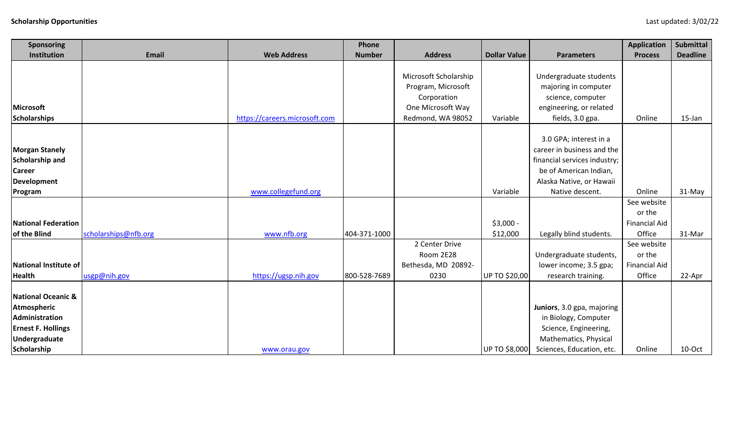|                                                                                                                  |                      |                               | Phone         |                                                            |                     |                                                                                                                                   | <b>Application</b>                            | <b>Submittal</b> |
|------------------------------------------------------------------------------------------------------------------|----------------------|-------------------------------|---------------|------------------------------------------------------------|---------------------|-----------------------------------------------------------------------------------------------------------------------------------|-----------------------------------------------|------------------|
| Institution                                                                                                      | <b>Email</b>         | <b>Web Address</b>            | <b>Number</b> | <b>Address</b>                                             | <b>Dollar Value</b> | <b>Parameters</b>                                                                                                                 | <b>Process</b>                                | <b>Deadline</b>  |
|                                                                                                                  |                      |                               |               | Microsoft Scholarship<br>Program, Microsoft<br>Corporation |                     | Undergraduate students<br>majoring in computer<br>science, computer                                                               |                                               |                  |
| <b>Microsoft</b>                                                                                                 |                      |                               |               | One Microsoft Way                                          |                     | engineering, or related                                                                                                           |                                               |                  |
| <b>Scholarships</b>                                                                                              |                      | https://careers.microsoft.com |               | Redmond, WA 98052                                          | Variable            | fields, 3.0 gpa.                                                                                                                  | Online                                        | $15$ -Jan        |
|                                                                                                                  |                      |                               |               |                                                            |                     |                                                                                                                                   |                                               |                  |
| <b>Morgan Stanely</b><br>Scholarship and                                                                         |                      |                               |               |                                                            |                     | 3.0 GPA; interest in a<br>career in business and the<br>financial services industry;                                              |                                               |                  |
| <b>Career</b>                                                                                                    |                      |                               |               |                                                            |                     | be of American Indian,                                                                                                            |                                               |                  |
| Development                                                                                                      |                      |                               |               |                                                            |                     | Alaska Native, or Hawaii                                                                                                          |                                               |                  |
| Program                                                                                                          |                      | www.collegefund.org           |               |                                                            | Variable            | Native descent.                                                                                                                   | Online                                        | 31-May           |
| <b>National Federation</b>                                                                                       |                      |                               |               |                                                            | $$3,000 -$          |                                                                                                                                   | See website<br>or the<br><b>Financial Aid</b> |                  |
| of the Blind                                                                                                     | scholarships@nfb.org | www.nfb.org                   | 404-371-1000  |                                                            | \$12,000            | Legally blind students.                                                                                                           | Office                                        | 31-Mar           |
|                                                                                                                  |                      |                               |               | 2 Center Drive                                             |                     |                                                                                                                                   | See website                                   |                  |
|                                                                                                                  |                      |                               |               | Room 2E28                                                  |                     | Undergraduate students,                                                                                                           | or the                                        |                  |
| National Institute of                                                                                            |                      |                               |               | Bethesda, MD 20892-                                        |                     | lower income; 3.5 gpa;                                                                                                            | <b>Financial Aid</b>                          |                  |
| <b>Health</b>                                                                                                    | usgp@nih.gov         | https://ugsp.nih.gov          | 800-528-7689  | 0230                                                       | UP TO \$20,00       | research training.                                                                                                                | Office                                        | 22-Apr           |
| National Oceanic &<br>Atmospheric<br>Administration<br><b>Ernest F. Hollings</b><br>Undergraduate<br>Scholarship |                      | www.orau.gov                  |               |                                                            | UP TO \$8,000       | Juniors, 3.0 gpa, majoring<br>in Biology, Computer<br>Science, Engineering,<br>Mathematics, Physical<br>Sciences, Education, etc. | Online                                        | 10-Oct           |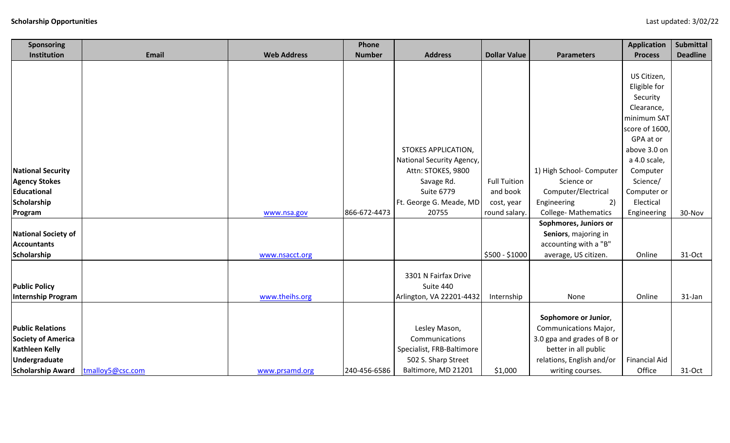| <b>Sponsoring</b>          |                  |                    | Phone         |                            |                     |                              | <b>Application</b>   | <b>Submittal</b> |
|----------------------------|------------------|--------------------|---------------|----------------------------|---------------------|------------------------------|----------------------|------------------|
| Institution                | <b>Email</b>     | <b>Web Address</b> | <b>Number</b> | <b>Address</b>             | <b>Dollar Value</b> | <b>Parameters</b>            | <b>Process</b>       | <b>Deadline</b>  |
|                            |                  |                    |               |                            |                     |                              |                      |                  |
|                            |                  |                    |               |                            |                     |                              | US Citizen,          |                  |
|                            |                  |                    |               |                            |                     |                              | Eligible for         |                  |
|                            |                  |                    |               |                            |                     |                              | Security             |                  |
|                            |                  |                    |               |                            |                     |                              | Clearance,           |                  |
|                            |                  |                    |               |                            |                     |                              | minimum SAT          |                  |
|                            |                  |                    |               |                            |                     |                              | score of 1600,       |                  |
|                            |                  |                    |               |                            |                     |                              | GPA at or            |                  |
|                            |                  |                    |               | <b>STOKES APPLICATION,</b> |                     |                              | above 3.0 on         |                  |
|                            |                  |                    |               | National Security Agency,  |                     |                              | a 4.0 scale,         |                  |
| <b>National Security</b>   |                  |                    |               | Attn: STOKES, 9800         |                     | 1) High School- Computer     | Computer             |                  |
| <b>Agency Stokes</b>       |                  |                    |               | Savage Rd.                 | <b>Full Tuition</b> | Science or                   | Science/             |                  |
| <b>Educational</b>         |                  |                    |               | <b>Suite 6779</b>          | and book            | Computer/Electrical          | Computer or          |                  |
| Scholarship                |                  |                    |               | Ft. George G. Meade, MD    | cost, year          | 2)<br>Engineering            | Electical            |                  |
| Program                    |                  | www.nsa.gov        | 866-672-4473  | 20755                      | round salary.       | <b>College- Mathematics</b>  | Engineering          | 30-Nov           |
|                            |                  |                    |               |                            |                     | Sophmores, Juniors or        |                      |                  |
| <b>National Society of</b> |                  |                    |               |                            |                     | Seniors, majoring in         |                      |                  |
| <b>Accountants</b>         |                  |                    |               |                            |                     | accounting with a "B"        |                      |                  |
| Scholarship                |                  | www.nsacct.org     |               |                            | \$500 - \$1000      | average, US citizen.         | Online               | 31-Oct           |
|                            |                  |                    |               |                            |                     |                              |                      |                  |
|                            |                  |                    |               | 3301 N Fairfax Drive       |                     |                              |                      |                  |
| <b>Public Policy</b>       |                  |                    |               | Suite 440                  |                     |                              |                      |                  |
| <b>Internship Program</b>  |                  | www.theihs.org     |               | Arlington, VA 22201-4432   | Internship          | None                         | Online               | $31$ -Jan        |
|                            |                  |                    |               |                            |                     |                              |                      |                  |
|                            |                  |                    |               |                            |                     | Sophomore or Junior,         |                      |                  |
| <b>Public Relations</b>    |                  |                    |               | Lesley Mason,              |                     | <b>Communications Major,</b> |                      |                  |
| <b>Society of America</b>  |                  |                    |               | Communications             |                     | 3.0 gpa and grades of B or   |                      |                  |
| <b>Kathleen Kelly</b>      |                  |                    |               | Specialist, FRB-Baltimore  |                     | better in all public         |                      |                  |
| <b>Undergraduate</b>       |                  |                    |               | 502 S. Sharp Street        |                     | relations, English and/or    | <b>Financial Aid</b> |                  |
| <b>Scholarship Award</b>   | tmalloy5@csc.com | www.prsamd.org     | 240-456-6586  | Baltimore, MD 21201        | \$1,000             | writing courses.             | Office               | $31-Oct$         |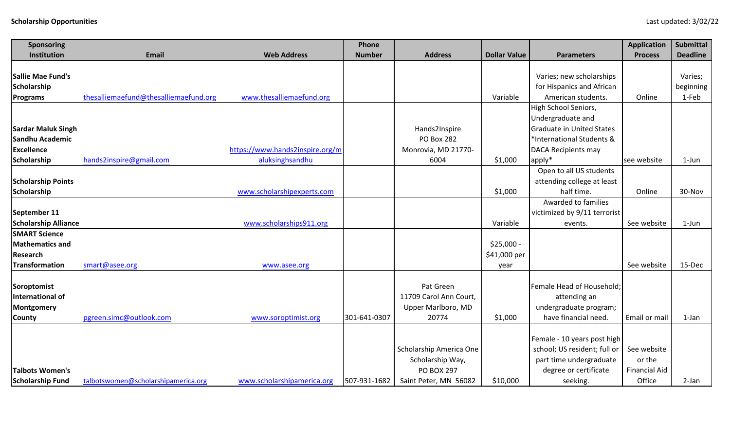| Sponsoring                  |                                       |                                 | Phone         |                         |                     |                                  | <b>Application</b>   | <b>Submittal</b> |
|-----------------------------|---------------------------------------|---------------------------------|---------------|-------------------------|---------------------|----------------------------------|----------------------|------------------|
| Institution                 | <b>Email</b>                          | <b>Web Address</b>              | <b>Number</b> | <b>Address</b>          | <b>Dollar Value</b> | <b>Parameters</b>                | <b>Process</b>       | <b>Deadline</b>  |
|                             |                                       |                                 |               |                         |                     |                                  |                      |                  |
| Sallie Mae Fund's           |                                       |                                 |               |                         |                     | Varies; new scholarships         |                      | Varies;          |
| Scholarship                 |                                       |                                 |               |                         |                     | for Hispanics and African        |                      | beginning        |
| Programs                    | thesalliemaefund@thesalliemaefund.org | www.thesalliemaefund.org        |               |                         | Variable            | American students.               | Online               | 1-Feb            |
|                             |                                       |                                 |               |                         |                     | High School Seniors,             |                      |                  |
|                             |                                       |                                 |               |                         |                     | Undergraduate and                |                      |                  |
| <b>Sardar Maluk Singh</b>   |                                       |                                 |               | Hands2Inspire           |                     | <b>Graduate in United States</b> |                      |                  |
| Sandhu Academic             |                                       |                                 |               | <b>PO Box 282</b>       |                     | *International Students &        |                      |                  |
| <b>Excellence</b>           |                                       | https://www.hands2inspire.org/m |               | Monrovia, MD 21770-     |                     | <b>DACA Recipients may</b>       |                      |                  |
| <b>Scholarship</b>          | hands2inspire@gmail.com               | aluksinghsandhu                 |               | 6004                    | \$1,000             | apply*                           | see website          | $1-Jun$          |
|                             |                                       |                                 |               |                         |                     | Open to all US students          |                      |                  |
| <b>Scholarship Points</b>   |                                       |                                 |               |                         |                     | attending college at least       |                      |                  |
| Scholarship                 |                                       | www.scholarshipexperts.com      |               |                         | \$1,000             | half time.                       | Online               | 30-Nov           |
|                             |                                       |                                 |               |                         |                     | Awarded to families              |                      |                  |
| September 11                |                                       |                                 |               |                         |                     | victimized by 9/11 terrorist     |                      |                  |
| <b>Scholarship Alliance</b> |                                       | www.scholarships911.org         |               |                         | Variable            | events.                          | See website          | 1-Jun            |
| <b>SMART Science</b>        |                                       |                                 |               |                         |                     |                                  |                      |                  |
| <b>Mathematics and</b>      |                                       |                                 |               |                         | $$25,000 -$         |                                  |                      |                  |
| <b>Research</b>             |                                       |                                 |               |                         | \$41,000 per        |                                  |                      |                  |
| <b>Transformation</b>       | smart@asee.org                        | www.asee.org                    |               |                         | year                |                                  | See website          | 15-Dec           |
|                             |                                       |                                 |               |                         |                     |                                  |                      |                  |
| Soroptomist                 |                                       |                                 |               | Pat Green               |                     | Female Head of Household;        |                      |                  |
| International of            |                                       |                                 |               | 11709 Carol Ann Court,  |                     | attending an                     |                      |                  |
| <b>Montgomery</b>           |                                       |                                 |               | Upper Marlboro, MD      |                     | undergraduate program;           |                      |                  |
| <b>County</b>               | pgreen.simc@outlook.com               | www.soroptimist.org             | 301-641-0307  | 20774                   | \$1,000             | have financial need.             | Email or mail        | 1-Jan            |
|                             |                                       |                                 |               |                         |                     |                                  |                      |                  |
|                             |                                       |                                 |               |                         |                     | Female - 10 years post high      |                      |                  |
|                             |                                       |                                 |               | Scholarship America One |                     | school; US resident; full or     | See website          |                  |
|                             |                                       |                                 |               | Scholarship Way,        |                     | part time undergraduate          | or the               |                  |
| <b>Talbots Women's</b>      |                                       |                                 |               | <b>PO BOX 297</b>       |                     | degree or certificate            | <b>Financial Aid</b> |                  |
| <b>Scholarship Fund</b>     | talbotswomen@scholarshipamerica.org   | www.scholarshipamerica.org      | 507-931-1682  | Saint Peter, MN 56082   | \$10,000            | seeking.                         | Office               | 2-Jan            |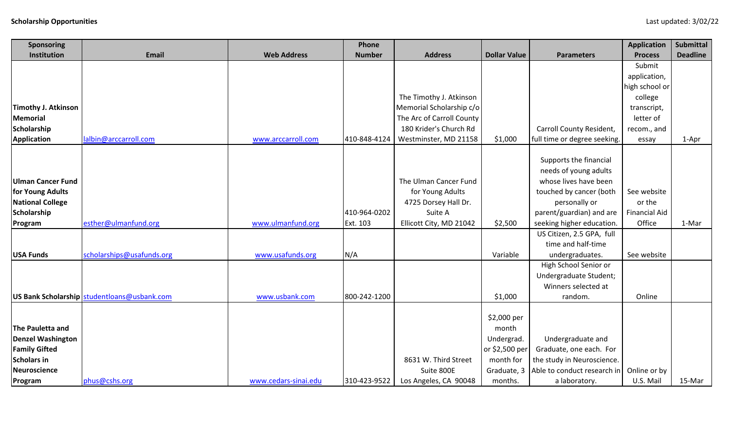| Sponsoring                 |                                             |                      | Phone         |                           |                     |                              | <b>Application</b>   | <b>Submittal</b> |
|----------------------------|---------------------------------------------|----------------------|---------------|---------------------------|---------------------|------------------------------|----------------------|------------------|
| Institution                | <b>Email</b>                                | <b>Web Address</b>   | <b>Number</b> | <b>Address</b>            | <b>Dollar Value</b> | <b>Parameters</b>            | <b>Process</b>       | <b>Deadline</b>  |
|                            |                                             |                      |               |                           |                     |                              | Submit               |                  |
|                            |                                             |                      |               |                           |                     |                              | application,         |                  |
|                            |                                             |                      |               |                           |                     |                              | high school or       |                  |
|                            |                                             |                      |               | The Timothy J. Atkinson   |                     |                              | college              |                  |
| <b>Timothy J. Atkinson</b> |                                             |                      |               | Memorial Scholarship c/o  |                     |                              | transcript,          |                  |
| <b>Memorial</b>            |                                             |                      |               | The Arc of Carroll County |                     |                              | letter of            |                  |
| Scholarship                |                                             |                      |               | 180 Krider's Church Rd    |                     | Carroll County Resident,     | recom., and          |                  |
| <b>Application</b>         | lalbin@arccarroll.com                       | www.arccarroll.com   | 410-848-4124  | Westminster, MD 21158     | \$1,000             | full time or degree seeking. | essay                | 1-Apr            |
|                            |                                             |                      |               |                           |                     |                              |                      |                  |
|                            |                                             |                      |               |                           |                     | Supports the financial       |                      |                  |
|                            |                                             |                      |               |                           |                     | needs of young adults        |                      |                  |
| <b>Ulman Cancer Fund</b>   |                                             |                      |               | The Ulman Cancer Fund     |                     | whose lives have been        |                      |                  |
| for Young Adults           |                                             |                      |               | for Young Adults          |                     | touched by cancer (both      | See website          |                  |
| <b>National College</b>    |                                             |                      |               | 4725 Dorsey Hall Dr.      |                     | personally or                | or the               |                  |
| Scholarship                |                                             |                      | 410-964-0202  | Suite A                   |                     | parent/guardian) and are     | <b>Financial Aid</b> |                  |
| Program                    | esther@ulmanfund.org                        | www.ulmanfund.org    | Ext. 103      | Ellicott City, MD 21042   | \$2,500             | seeking higher education.    | Office               | 1-Mar            |
|                            |                                             |                      |               |                           |                     | US Citizen, 2.5 GPA, full    |                      |                  |
|                            |                                             |                      |               |                           |                     | time and half-time           |                      |                  |
| <b>USA Funds</b>           | scholarships@usafunds.org                   | www.usafunds.org     | N/A           |                           | Variable            | undergraduates.              | See website          |                  |
|                            |                                             |                      |               |                           |                     | High School Senior or        |                      |                  |
|                            |                                             |                      |               |                           |                     | Undergraduate Student;       |                      |                  |
|                            |                                             |                      |               |                           |                     | Winners selected at          |                      |                  |
|                            | US Bank Scholarship studentloans@usbank.com | www.usbank.com       | 800-242-1200  |                           | \$1,000             | random.                      | Online               |                  |
|                            |                                             |                      |               |                           |                     |                              |                      |                  |
|                            |                                             |                      |               |                           | \$2,000 per         |                              |                      |                  |
| <b>The Pauletta and</b>    |                                             |                      |               |                           | month               |                              |                      |                  |
| <b>Denzel Washington</b>   |                                             |                      |               |                           | Undergrad.          | Undergraduate and            |                      |                  |
| <b>Family Gifted</b>       |                                             |                      |               |                           | or \$2,500 per      | Graduate, one each. For      |                      |                  |
| <b>Scholars in</b>         |                                             |                      |               | 8631 W. Third Street      | month for           | the study in Neuroscience.   |                      |                  |
| Neuroscience               |                                             |                      |               | Suite 800E                | Graduate, 3         | Able to conduct research in  | Online or by         |                  |
| Program                    | phus@cshs.org                               | www.cedars-sinai.edu | 310-423-9522  | Los Angeles, CA 90048     | months.             | a laboratory.                | U.S. Mail            | 15-Mar           |